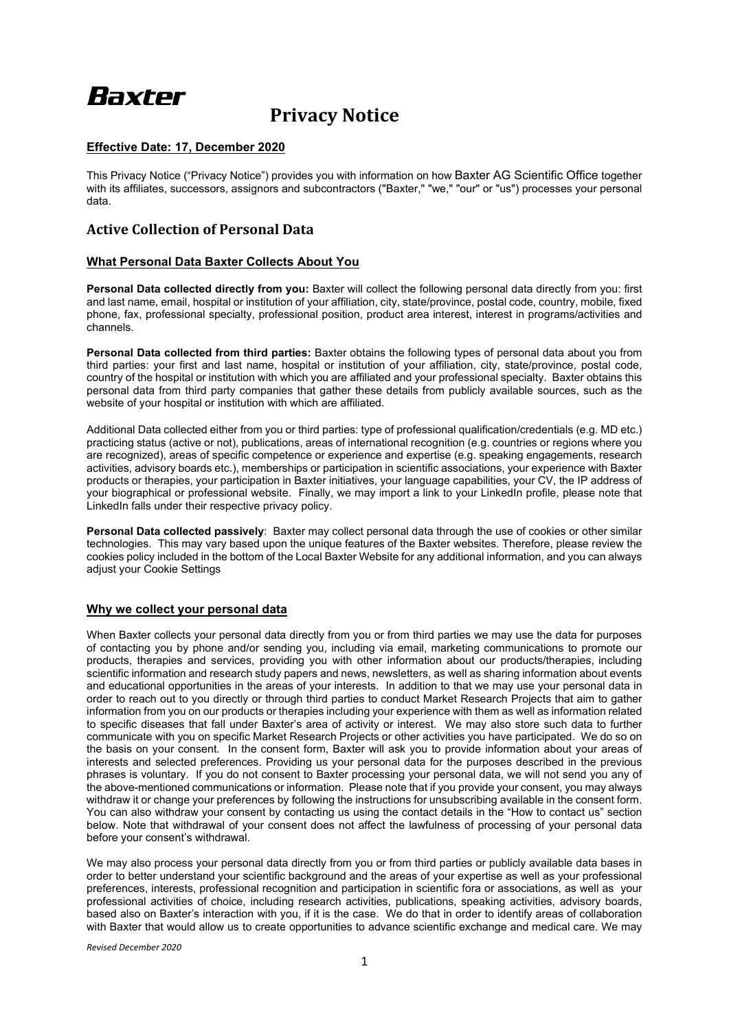# Baxter

# **Privacy Notice**

# **Effective Date: 17, December 2020**

This Privacy Notice ("Privacy Notice") provides you with information on how Baxter AG Scientific Office together with its affiliates, successors, assignors and subcontractors ("Baxter," "we," "our" or "us") processes your personal data.

# **Active Collection of Personal Data**

### **What Personal Data Baxter Collects About You**

**Personal Data collected directly from you:** Baxter will collect the following personal data directly from you: first and last name, email, hospital or institution of your affiliation, city, state/province, postal code, country, mobile, fixed phone, fax, professional specialty, professional position, product area interest, interest in programs/activities and channels.

**Personal Data collected from third parties:** Baxter obtains the following types of personal data about you from third parties: your first and last name, hospital or institution of your affiliation, city, state/province, postal code, country of the hospital or institution with which you are affiliated and your professional specialty. Baxter obtains this personal data from third party companies that gather these details from publicly available sources, such as the website of your hospital or institution with which are affiliated.

Additional Data collected either from you or third parties: type of professional qualification/credentials (e.g. MD etc.) practicing status (active or not), publications, areas of international recognition (e.g. countries or regions where you are recognized), areas of specific competence or experience and expertise (e.g. speaking engagements, research activities, advisory boards etc.), memberships or participation in scientific associations, your experience with Baxter products or therapies, your participation in Baxter initiatives, your language capabilities, your CV, the IP address of your biographical or professional website. Finally, we may import a link to your LinkedIn profile, please note that LinkedIn falls under their respective privacy policy.

**Personal Data collected passively**: Baxter may collect personal data through the use of cookies or other similar technologies. This may vary based upon the unique features of the Baxter websites. Therefore, please review the cookies policy included in the bottom of the Local Baxter Website for any additional information, and you can always adjust your Cookie Settings

## **Why we collect your personal data**

When Baxter collects your personal data directly from you or from third parties we may use the data for purposes of contacting you by phone and/or sending you, including via email, marketing communications to promote our products, therapies and services, providing you with other information about our products/therapies, including scientific information and research study papers and news, newsletters, as well as sharing information about events and educational opportunities in the areas of your interests. In addition to that we may use your personal data in order to reach out to you directly or through third parties to conduct Market Research Projects that aim to gather information from you on our products or therapies including your experience with them as well as information related to specific diseases that fall under Baxter's area of activity or interest. We may also store such data to further communicate with you on specific Market Research Projects or other activities you have participated. We do so on the basis on your consent. In the consent form, Baxter will ask you to provide information about your areas of interests and selected preferences. Providing us your personal data for the purposes described in the previous phrases is voluntary. If you do not consent to Baxter processing your personal data, we will not send you any of the above-mentioned communications or information. Please note that if you provide your consent, you may always withdraw it or change your preferences by following the instructions for unsubscribing available in the consent form. You can also withdraw your consent by contacting us using the contact details in the "How to contact us" section below. Note that withdrawal of your consent does not affect the lawfulness of processing of your personal data before your consent's withdrawal.

We may also process your personal data directly from you or from third parties or publicly available data bases in order to better understand your scientific background and the areas of your expertise as well as your professional preferences, interests, professional recognition and participation in scientific fora or associations, as well as your professional activities of choice, including research activities, publications, speaking activities, advisory boards, based also on Baxter's interaction with you, if it is the case. We do that in order to identify areas of collaboration with Baxter that would allow us to create opportunities to advance scientific exchange and medical care. We may

*Revised December 2020*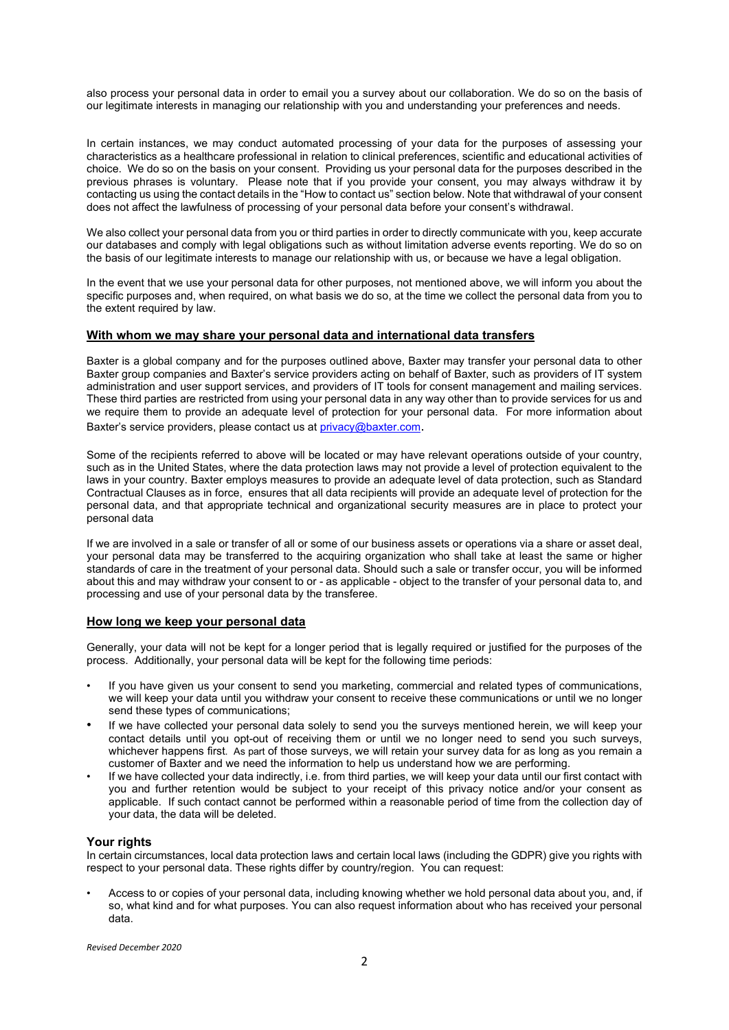also process your personal data in order to email you a survey about our collaboration. We do so on the basis of our legitimate interests in managing our relationship with you and understanding your preferences and needs.

In certain instances, we may conduct automated processing of your data for the purposes of assessing your characteristics as a healthcare professional in relation to clinical preferences, scientific and educational activities of choice. We do so on the basis on your consent. Providing us your personal data for the purposes described in the previous phrases is voluntary. Please note that if you provide your consent, you may always withdraw it by contacting us using the contact details in the "How to contact us" section below. Note that withdrawal of your consent does not affect the lawfulness of processing of your personal data before your consent's withdrawal.

We also collect your personal data from you or third parties in order to directly communicate with you, keep accurate our databases and comply with legal obligations such as without limitation adverse events reporting. We do so on the basis of our legitimate interests to manage our relationship with us, or because we have a legal obligation.

In the event that we use your personal data for other purposes, not mentioned above, we will inform you about the specific purposes and, when required, on what basis we do so, at the time we collect the personal data from you to the extent required by law.

### **With whom we may share your personal data and international data transfers**

Baxter is a global company and for the purposes outlined above, Baxter may transfer your personal data to other Baxter group companies and Baxter's service providers acting on behalf of Baxter, such as providers of IT system administration and user support services, and providers of IT tools for consent management and mailing services. These third parties are restricted from using your personal data in any way other than to provide services for us and we require them to provide an adequate level of protection for your personal data. For more information about Baxter's service providers, please contact us at privacy@baxter.com.

Some of the recipients referred to above will be located or may have relevant operations outside of your country, such as in the United States, where the data protection laws may not provide a level of protection equivalent to the laws in your country. Baxter employs measures to provide an adequate level of data protection, such as Standard Contractual Clauses as in force, ensures that all data recipients will provide an adequate level of protection for the personal data, and that appropriate technical and organizational security measures are in place to protect your personal data

If we are involved in a sale or transfer of all or some of our business assets or operations via a share or asset deal, your personal data may be transferred to the acquiring organization who shall take at least the same or higher standards of care in the treatment of your personal data. Should such a sale or transfer occur, you will be informed about this and may withdraw your consent to or - as applicable - object to the transfer of your personal data to, and processing and use of your personal data by the transferee.

#### **How long we keep your personal data**

Generally, your data will not be kept for a longer period that is legally required or justified for the purposes of the process. Additionally, your personal data will be kept for the following time periods:

- If you have given us your consent to send you marketing, commercial and related types of communications, we will keep your data until you withdraw your consent to receive these communications or until we no longer send these types of communications;
- If we have collected your personal data solely to send you the surveys mentioned herein, we will keep your contact details until you opt-out of receiving them or until we no longer need to send you such surveys, whichever happens first. As part of those surveys, we will retain your survey data for as long as you remain a customer of Baxter and we need the information to help us understand how we are performing.
- If we have collected your data indirectly, i.e. from third parties, we will keep your data until our first contact with you and further retention would be subject to your receipt of this privacy notice and/or your consent as applicable. If such contact cannot be performed within a reasonable period of time from the collection day of your data, the data will be deleted.

#### **Your rights**

In certain circumstances, local data protection laws and certain local laws (including the GDPR) give you rights with respect to your personal data. These rights differ by country/region. You can request:

• Access to or copies of your personal data, including knowing whether we hold personal data about you, and, if so, what kind and for what purposes. You can also request information about who has received your personal data.

*Revised December 2020*